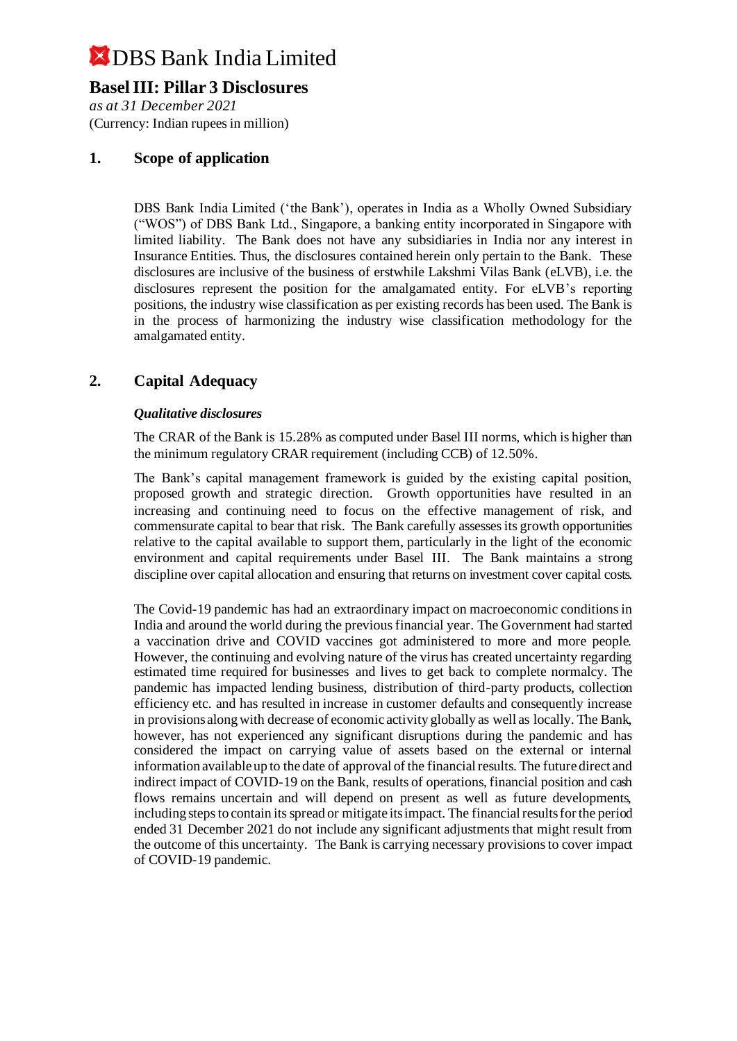## **Basel III: Pillar 3 Disclosures**

*as at 31 December 2021* (Currency: Indian rupees in million)

#### **1. Scope of application**

DBS Bank India Limited ('the Bank'), operates in India as a Wholly Owned Subsidiary ("WOS") of DBS Bank Ltd., Singapore, a banking entity incorporated in Singapore with limited liability. The Bank does not have any subsidiaries in India nor any interest in Insurance Entities. Thus, the disclosures contained herein only pertain to the Bank. These disclosures are inclusive of the business of erstwhile Lakshmi Vilas Bank (eLVB), i.e. the disclosures represent the position for the amalgamated entity. For eLVB's reporting positions, the industry wise classification as per existing records has been used. The Bank is in the process of harmonizing the industry wise classification methodology for the amalgamated entity.

#### **2. Capital Adequacy**

#### *Qualitative disclosures*

The CRAR of the Bank is 15.28% as computed under Basel III norms, which is higher than the minimum regulatory CRAR requirement (including CCB) of 12.50%.

The Bank's capital management framework is guided by the existing capital position, proposed growth and strategic direction. Growth opportunities have resulted in an increasing and continuing need to focus on the effective management of risk, and commensurate capital to bear that risk. The Bank carefully assesses its growth opportunities relative to the capital available to support them, particularly in the light of the economic environment and capital requirements under Basel III. The Bank maintains a strong discipline over capital allocation and ensuring that returns on investment cover capital costs.

The Covid-19 pandemic has had an extraordinary impact on macroeconomic conditions in India and around the world during the previous financial year. The Government had started a vaccination drive and COVID vaccines got administered to more and more people. However, the continuing and evolving nature of the virus has created uncertainty regarding estimated time required for businesses and lives to get back to complete normalcy. The pandemic has impacted lending business, distribution of third-party products, collection efficiency etc. and has resulted in increase in customer defaults and consequently increase in provisions along with decrease of economic activity globally as well as locally. The Bank, however, has not experienced any significant disruptions during the pandemic and has considered the impact on carrying value of assets based on the external or internal information available up to the date of approval of the financial results. The future direct and indirect impact of COVID-19 on the Bank, results of operations, financial position and cash flows remains uncertain and will depend on present as well as future developments, including steps to contain its spread or mitigate its impact. The financial results for the period ended 31 December 2021 do not include any significant adjustments that might result from the outcome of this uncertainty. The Bank is carrying necessary provisions to cover impact of COVID-19 pandemic.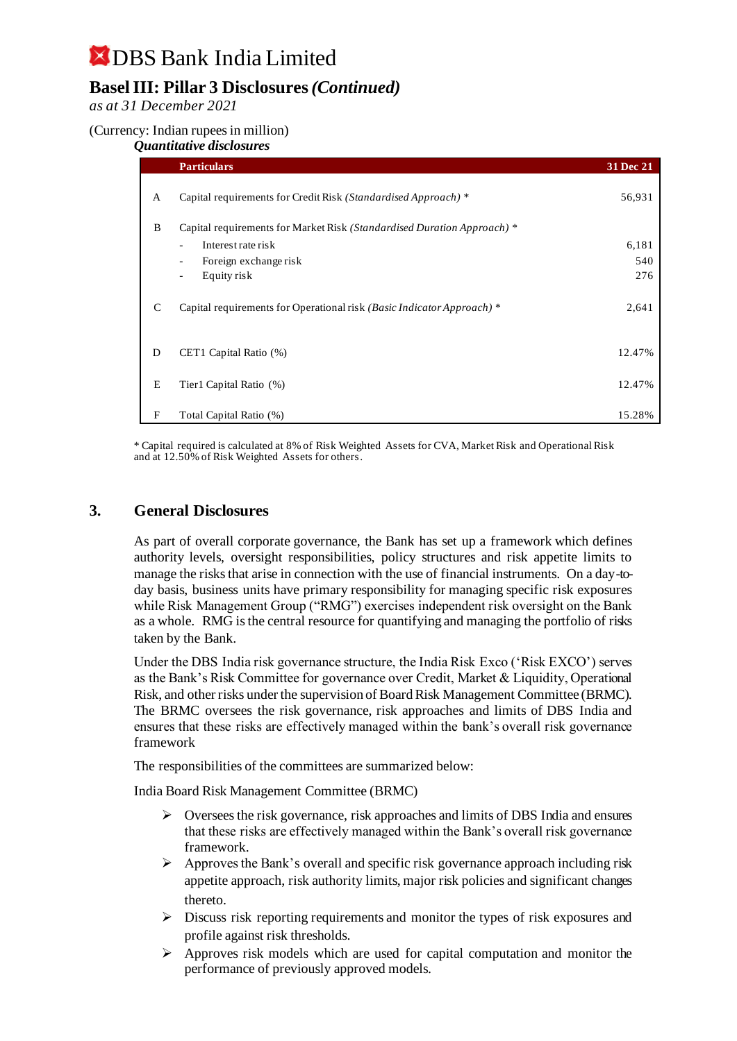## **Basel III: Pillar 3 Disclosures***(Continued)*

*as at 31 December 2021*

#### (Currency: Indian rupees in million)

#### *Quantitative disclosures*

|   | <b>Particulars</b>                                                      | 31 Dec 21    |
|---|-------------------------------------------------------------------------|--------------|
| A | Capital requirements for Credit Risk (Standardised Approach) *          | 56,931       |
| B | Capital requirements for Market Risk (Standardised Duration Approach) * |              |
|   | Interest rate risk<br>Foreign exchange risk<br>-                        | 6,181<br>540 |
|   | Equity risk<br>$\overline{\phantom{0}}$                                 | 276          |
| C | Capital requirements for Operational risk (Basic Indicator Approach) *  | 2,641        |
| D | CET1 Capital Ratio (%)                                                  | 12.47%       |
| E | Tier1 Capital Ratio (%)                                                 | 12.47%       |
| F | Total Capital Ratio (%)                                                 | 15.28%       |

\* Capital required is calculated at 8% of Risk Weighted Assets for CVA, Market Risk and Operational Risk and at 12.50% of Risk Weighted Assets for others.

#### **3. General Disclosures**

As part of overall corporate governance, the Bank has set up a framework which defines authority levels, oversight responsibilities, policy structures and risk appetite limits to manage the risks that arise in connection with the use of financial instruments. On a day-today basis, business units have primary responsibility for managing specific risk exposures while Risk Management Group ("RMG") exercises independent risk oversight on the Bank as a whole. RMG is the central resource for quantifying and managing the portfolio of risks taken by the Bank.

Under the DBS India risk governance structure, the India Risk Exco ('Risk EXCO') serves as the Bank's Risk Committee for governance over Credit, Market & Liquidity, Operational Risk, and other risks under the supervision of Board Risk Management Committee (BRMC). The BRMC oversees the risk governance, risk approaches and limits of DBS India and ensures that these risks are effectively managed within the bank's overall risk governance framework

The responsibilities of the committees are summarized below:

India Board Risk Management Committee (BRMC)

- $\triangleright$  Oversees the risk governance, risk approaches and limits of DBS India and ensures that these risks are effectively managed within the Bank's overall risk governance framework.
- $\triangleright$  Approves the Bank's overall and specific risk governance approach including risk appetite approach, risk authority limits, major risk policies and significant changes thereto.
- $\triangleright$  Discuss risk reporting requirements and monitor the types of risk exposures and profile against risk thresholds.
- ➢ Approves risk models which are used for capital computation and monitor the performance of previously approved models.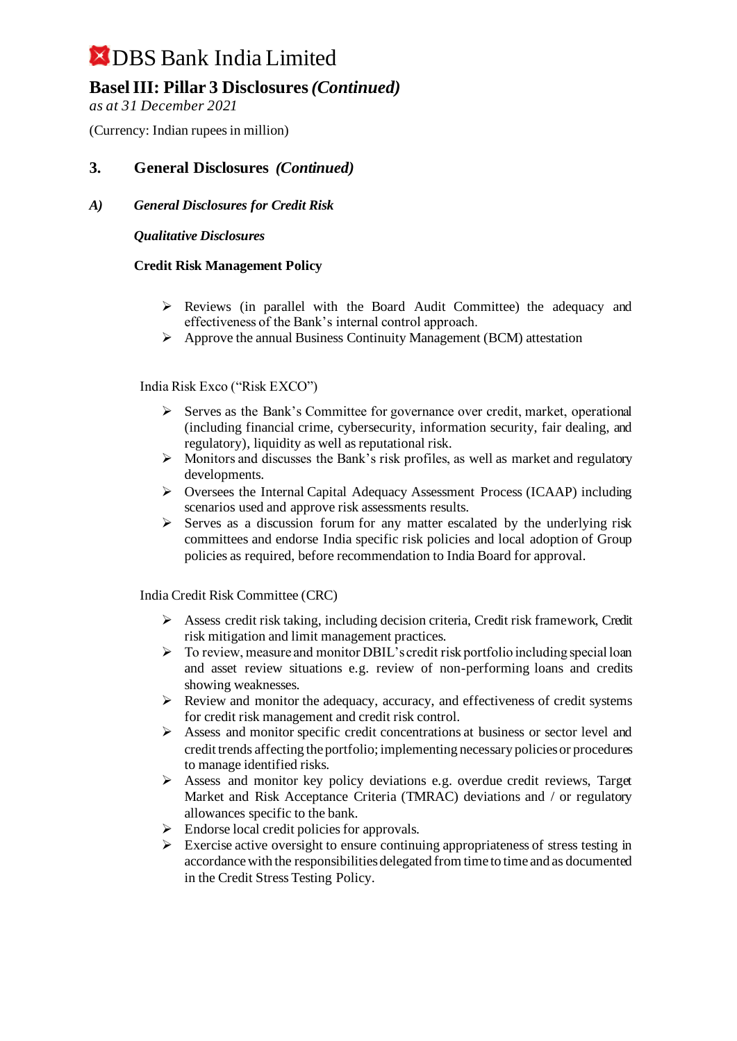## **Basel III: Pillar 3 Disclosures***(Continued)*

*as at 31 December 2021*

(Currency: Indian rupees in million)

### **3. General Disclosures** *(Continued)*

#### *A) General Disclosures for Credit Risk*

#### *Qualitative Disclosures*

#### **Credit Risk Management Policy**

- $\triangleright$  Reviews (in parallel with the Board Audit Committee) the adequacy and effectiveness of the Bank's internal control approach.
- ➢ Approve the annual Business Continuity Management (BCM) attestation

#### India Risk Exco ("Risk EXCO")

- ➢ Serves as the Bank's Committee for governance over credit, market, operational (including financial crime, cybersecurity, information security, fair dealing, and regulatory), liquidity as well as reputational risk.
- ➢ Monitors and discusses the Bank's risk profiles, as well as market and regulatory developments.
- ➢ Oversees the Internal Capital Adequacy Assessment Process (ICAAP) including scenarios used and approve risk assessments results.
- $\triangleright$  Serves as a discussion forum for any matter escalated by the underlying risk committees and endorse India specific risk policies and local adoption of Group policies as required, before recommendation to India Board for approval.

India Credit Risk Committee (CRC)

- $\triangleright$  Assess credit risk taking, including decision criteria, Credit risk framework, Credit risk mitigation and limit management practices.
- ➢ To review, measure and monitor DBIL's credit risk portfolio including special loan and asset review situations e.g. review of non-performing loans and credits showing weaknesses.
- ➢ Review and monitor the adequacy, accuracy, and effectiveness of credit systems for credit risk management and credit risk control.
- ➢ Assess and monitor specific credit concentrations at business or sector level and credit trends affecting the portfolio; implementing necessary policies or procedures to manage identified risks.
- $\triangleright$  Assess and monitor key policy deviations e.g. overdue credit reviews, Target Market and Risk Acceptance Criteria (TMRAC) deviations and / or regulatory allowances specific to the bank.
- $\triangleright$  Endorse local credit policies for approvals.
- $\triangleright$  Exercise active oversight to ensure continuing appropriateness of stress testing in accordance with the responsibilities delegated from time to time and as documented in the Credit Stress Testing Policy.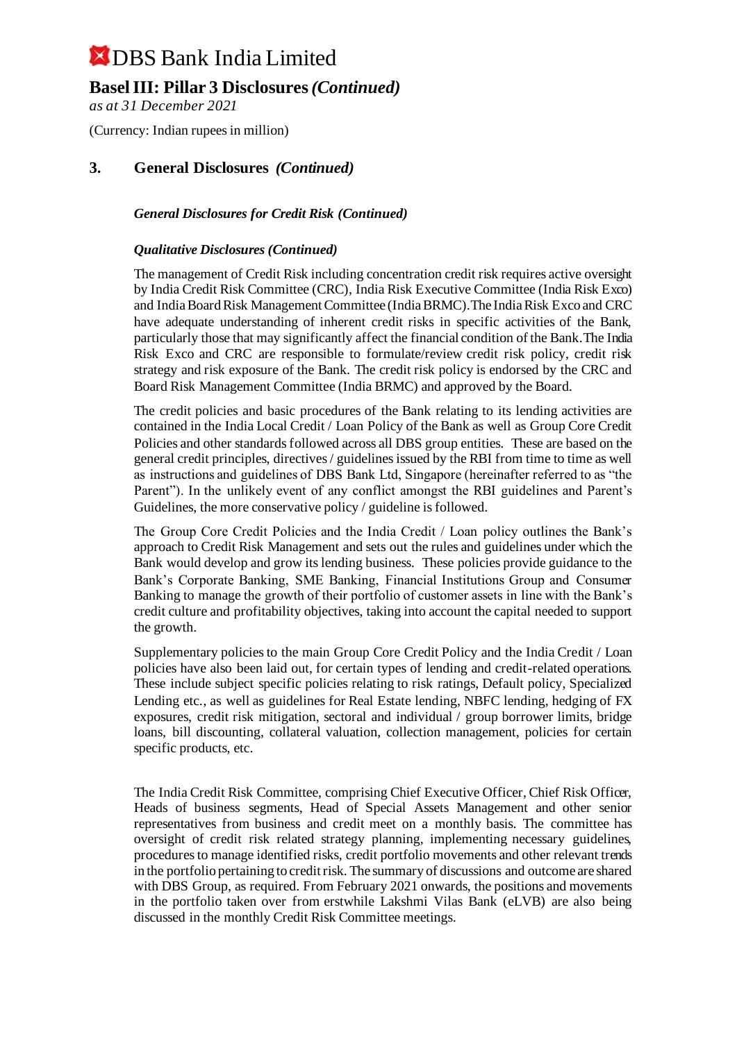### **Basel III: Pillar 3 Disclosures***(Continued)*

*as at 31 December 2021*

(Currency: Indian rupees in million)

### **3. General Disclosures** *(Continued)*

#### *General Disclosures for Credit Risk (Continued)*

#### *Qualitative Disclosures (Continued)*

The management of Credit Risk including concentration credit risk requires active oversight by India Credit Risk Committee (CRC), India Risk Executive Committee (India Risk Exco) and India Board Risk Management Committee (India BRMC).The India Risk Exco and CRC have adequate understanding of inherent credit risks in specific activities of the Bank, particularly those that may significantly affect the financial condition of the Bank.The India Risk Exco and CRC are responsible to formulate/review credit risk policy, credit risk strategy and risk exposure of the Bank. The credit risk policy is endorsed by the CRC and Board Risk Management Committee (India BRMC) and approved by the Board.

The credit policies and basic procedures of the Bank relating to its lending activities are contained in the India Local Credit / Loan Policy of the Bank as well as Group Core Credit Policies and other standards followed across all DBS group entities. These are based on the general credit principles, directives / guidelines issued by the RBI from time to time as well as instructions and guidelines of DBS Bank Ltd, Singapore (hereinafter referred to as "the Parent"). In the unlikely event of any conflict amongst the RBI guidelines and Parent's Guidelines, the more conservative policy / guideline is followed.

The Group Core Credit Policies and the India Credit / Loan policy outlines the Bank's approach to Credit Risk Management and sets out the rules and guidelines under which the Bank would develop and grow its lending business. These policies provide guidance to the Bank's Corporate Banking, SME Banking, Financial Institutions Group and Consumer Banking to manage the growth of their portfolio of customer assets in line with the Bank's credit culture and profitability objectives, taking into account the capital needed to support the growth.

Supplementary policies to the main Group Core Credit Policy and the India Credit / Loan policies have also been laid out, for certain types of lending and credit-related operations. These include subject specific policies relating to risk ratings, Default policy, Specialized Lending etc., as well as guidelines for Real Estate lending, NBFC lending, hedging of FX exposures, credit risk mitigation, sectoral and individual / group borrower limits, bridge loans, bill discounting, collateral valuation, collection management, policies for certain specific products, etc.

The India Credit Risk Committee, comprising Chief Executive Officer, Chief Risk Officer, Heads of business segments, Head of Special Assets Management and other senior representatives from business and credit meet on a monthly basis. The committee has oversight of credit risk related strategy planning, implementing necessary guidelines, procedures to manage identified risks, credit portfolio movements and other relevant trends in the portfolio pertaining to credit risk. The summary of discussions and outcome are shared with DBS Group, as required. From February 2021 onwards, the positions and movements in the portfolio taken over from erstwhile Lakshmi Vilas Bank (eLVB) are also being discussed in the monthly Credit Risk Committee meetings.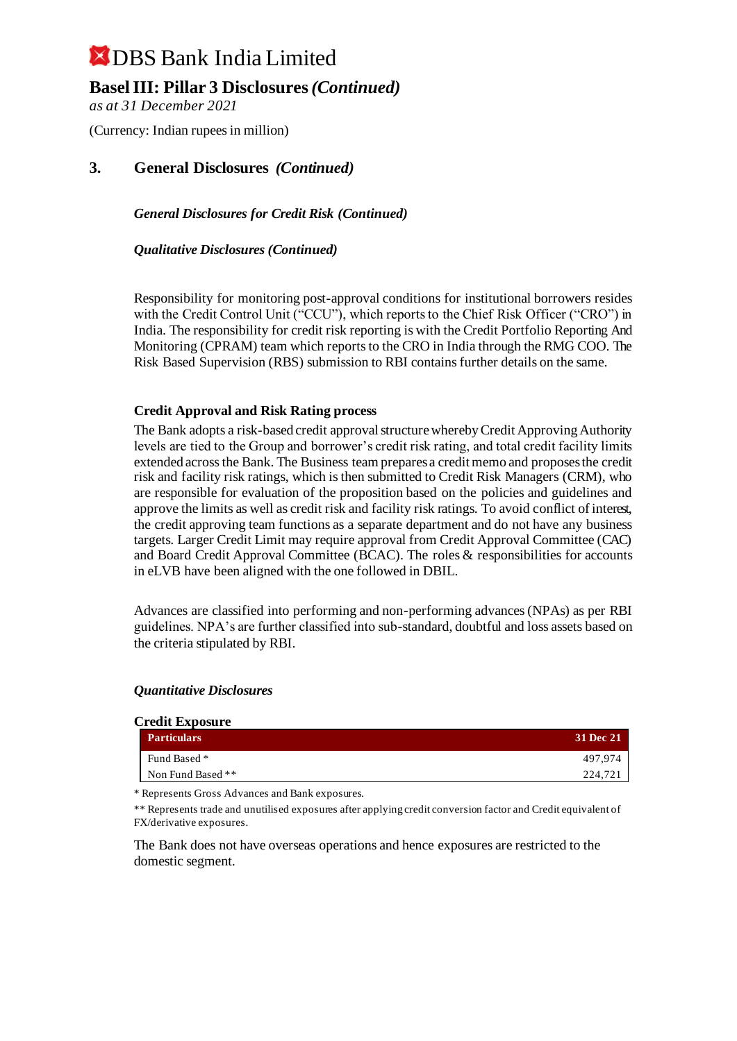### **Basel III: Pillar 3 Disclosures***(Continued)*

*as at 31 December 2021*

(Currency: Indian rupees in million)

### **3. General Disclosures** *(Continued)*

*General Disclosures for Credit Risk (Continued)*

*Qualitative Disclosures (Continued)*

Responsibility for monitoring post-approval conditions for institutional borrowers resides with the Credit Control Unit ("CCU"), which reports to the Chief Risk Officer ("CRO") in India. The responsibility for credit risk reporting is with the Credit Portfolio Reporting And Monitoring (CPRAM) team which reports to the CRO in India through the RMG COO. The Risk Based Supervision (RBS) submission to RBI contains further details on the same.

#### **Credit Approval and Risk Rating process**

The Bank adopts a risk-based credit approval structure whereby Credit Approving Authority levels are tied to the Group and borrower's credit risk rating, and total credit facility limits extended across the Bank. The Business team prepares a credit memo and proposes the credit risk and facility risk ratings, which is then submitted to Credit Risk Managers (CRM), who are responsible for evaluation of the proposition based on the policies and guidelines and approve the limits as well as credit risk and facility risk ratings. To avoid conflict of interest, the credit approving team functions as a separate department and do not have any business targets. Larger Credit Limit may require approval from Credit Approval Committee (CAC) and Board Credit Approval Committee (BCAC). The roles & responsibilities for accounts in eLVB have been aligned with the one followed in DBIL.

Advances are classified into performing and non-performing advances (NPAs) as per RBI guidelines. NPA's are further classified into sub-standard, doubtful and loss assets based on the criteria stipulated by RBI.

#### *Quantitative Disclosures*

 $C = \mathbf{E} \cdot \mathbf{E}$ 

| Creait Exposure |  |  |  |
|-----------------|--|--|--|
| 31 Dec 21       |  |  |  |
| 497.974         |  |  |  |
| 224.721         |  |  |  |
|                 |  |  |  |

\* Represents Gross Advances and Bank exposures.

\*\* Represents trade and unutilised exposures after applying credit conversion factor and Credit equivalent of FX/derivative exposures.

The Bank does not have overseas operations and hence exposures are restricted to the domestic segment.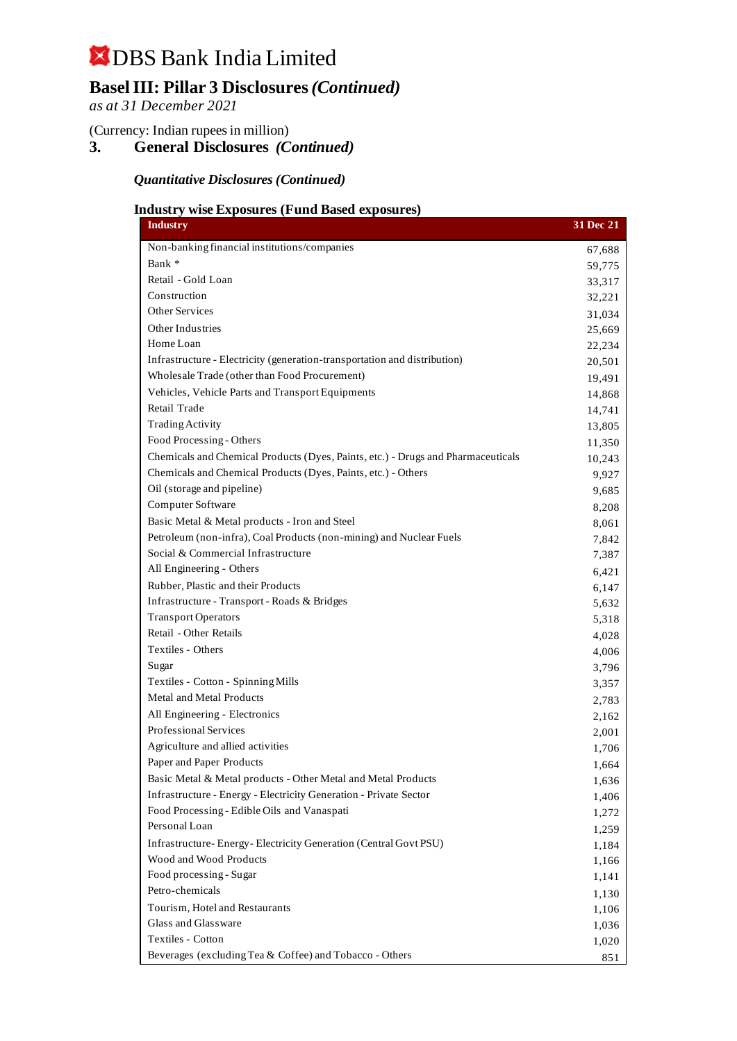## **Basel III: Pillar 3 Disclosures***(Continued)*

*as at 31 December 2021*

(Currency: Indian rupees in million)

**3. General Disclosures** *(Continued)*

*Quantitative Disclosures (Continued)*

### **Industry wise Exposures (Fund Based exposures)**

| <b>Industry</b>                                                                  | 31 Dec 21 |
|----------------------------------------------------------------------------------|-----------|
| Non-banking financial institutions/companies                                     | 67,688    |
| Bank *                                                                           | 59,775    |
| Retail - Gold Loan                                                               | 33,317    |
| Construction                                                                     | 32,221    |
| <b>Other Services</b>                                                            | 31,034    |
| <b>Other Industries</b>                                                          | 25,669    |
| Home Loan                                                                        | 22,234    |
| Infrastructure - Electricity (generation-transportation and distribution)        | 20,501    |
| Wholesale Trade (other than Food Procurement)                                    | 19,491    |
| Vehicles, Vehicle Parts and Transport Equipments                                 | 14,868    |
| Retail Trade                                                                     | 14,741    |
| <b>Trading Activity</b>                                                          | 13,805    |
| Food Processing - Others                                                         | 11,350    |
| Chemicals and Chemical Products (Dyes, Paints, etc.) - Drugs and Pharmaceuticals | 10,243    |
| Chemicals and Chemical Products (Dyes, Paints, etc.) - Others                    | 9,927     |
| Oil (storage and pipeline)                                                       | 9,685     |
| Computer Software                                                                | 8,208     |
| Basic Metal & Metal products - Iron and Steel                                    | 8,061     |
| Petroleum (non-infra), Coal Products (non-mining) and Nuclear Fuels              | 7,842     |
| Social & Commercial Infrastructure                                               | 7,387     |
| All Engineering - Others                                                         | 6,421     |
| Rubber, Plastic and their Products                                               | 6,147     |
| Infrastructure - Transport - Roads & Bridges                                     | 5,632     |
| <b>Transport Operators</b>                                                       | 5,318     |
| Retail - Other Retails                                                           | 4,028     |
| Textiles - Others                                                                | 4,006     |
| Sugar                                                                            | 3,796     |
| Textiles - Cotton - Spinning Mills                                               | 3,357     |
| Metal and Metal Products                                                         | 2,783     |
| All Engineering - Electronics                                                    | 2,162     |
| Professional Services                                                            | 2,001     |
| Agriculture and allied activities                                                | 1,706     |
| Paper and Paper Products                                                         | 1,664     |
| Basic Metal & Metal products - Other Metal and Metal Products                    | 1,636     |
| Infrastructure - Energy - Electricity Generation - Private Sector                | 1,406     |
| Food Processing - Edible Oils and Vanaspati                                      | 1,272     |
| Personal Loan                                                                    | 1,259     |
| Infrastructure-Energy-Electricity Generation (Central Govt PSU)                  | 1,184     |
| Wood and Wood Products                                                           | 1,166     |
| Food processing - Sugar                                                          | 1,141     |
| Petro-chemicals                                                                  | 1,130     |
| Tourism, Hotel and Restaurants                                                   | 1,106     |
| Glass and Glassware                                                              | 1,036     |
| Textiles - Cotton                                                                | 1,020     |
| Beverages (excluding Tea & Coffee) and Tobacco - Others                          | 851       |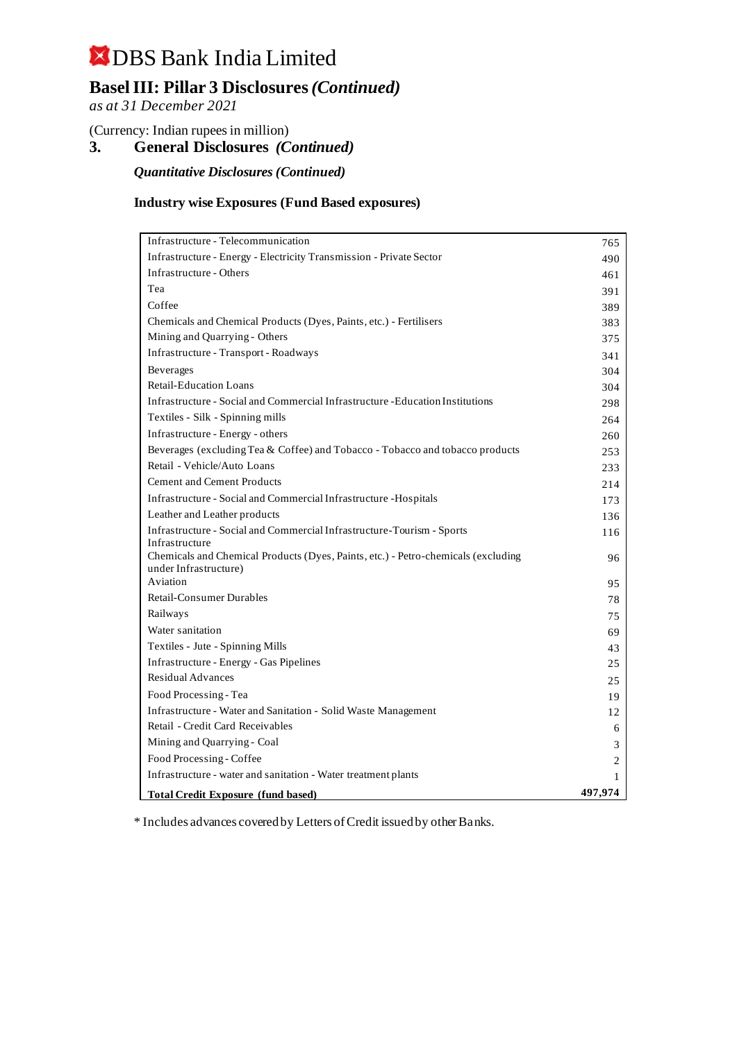## **Basel III: Pillar 3 Disclosures***(Continued)*

*as at 31 December 2021*

(Currency: Indian rupees in million)

**3. General Disclosures** *(Continued)*

*Quantitative Disclosures (Continued)*

#### **Industry wise Exposures (Fund Based exposures)**

| Infrastructure - Telecommunication                                                                         | 765            |
|------------------------------------------------------------------------------------------------------------|----------------|
| Infrastructure - Energy - Electricity Transmission - Private Sector                                        | 490            |
| Infrastructure - Others                                                                                    | 461            |
| Tea                                                                                                        | 391            |
| Coffee                                                                                                     | 389            |
| Chemicals and Chemical Products (Dyes, Paints, etc.) - Fertilisers                                         | 383            |
| Mining and Quarrying - Others                                                                              | 375            |
| Infrastructure - Transport - Roadways                                                                      | 341            |
| <b>Beverages</b>                                                                                           | 304            |
| <b>Retail-Education Loans</b>                                                                              | 304            |
| Infrastructure - Social and Commercial Infrastructure - Education Institutions                             | 298            |
| Textiles - Silk - Spinning mills                                                                           | 264            |
| Infrastructure - Energy - others                                                                           | 260            |
| Beverages (excluding Tea & Coffee) and Tobacco - Tobacco and tobacco products                              | 253            |
| Retail - Vehicle/Auto Loans                                                                                | 233            |
| <b>Cement and Cement Products</b>                                                                          | 214            |
| Infrastructure - Social and Commercial Infrastructure - Hospitals                                          | 173            |
| Leather and Leather products                                                                               | 136            |
| Infrastructure - Social and Commercial Infrastructure-Tourism - Sports                                     | 116            |
| Infrastructure                                                                                             |                |
| Chemicals and Chemical Products (Dyes, Paints, etc.) - Petro-chemicals (excluding<br>under Infrastructure) | 96             |
| Aviation                                                                                                   | 95             |
| <b>Retail-Consumer Durables</b>                                                                            | 78             |
| Railways                                                                                                   | 75             |
| Water sanitation                                                                                           | 69             |
| Textiles - Jute - Spinning Mills                                                                           | 43             |
| Infrastructure - Energy - Gas Pipelines                                                                    | 25             |
| <b>Residual Advances</b>                                                                                   | 25             |
| Food Processing - Tea                                                                                      | 19             |
| Infrastructure - Water and Sanitation - Solid Waste Management                                             | 12             |
| Retail - Credit Card Receivables                                                                           | 6              |
| Mining and Quarrying - Coal                                                                                | 3              |
| Food Processing - Coffee                                                                                   | $\overline{c}$ |
| Infrastructure - water and sanitation - Water treatment plants                                             | $\mathbf{1}$   |
| <b>Total Credit Exposure (fund based)</b>                                                                  | 497,974        |

\* Includes advances covered by Letters of Credit issued by other Banks.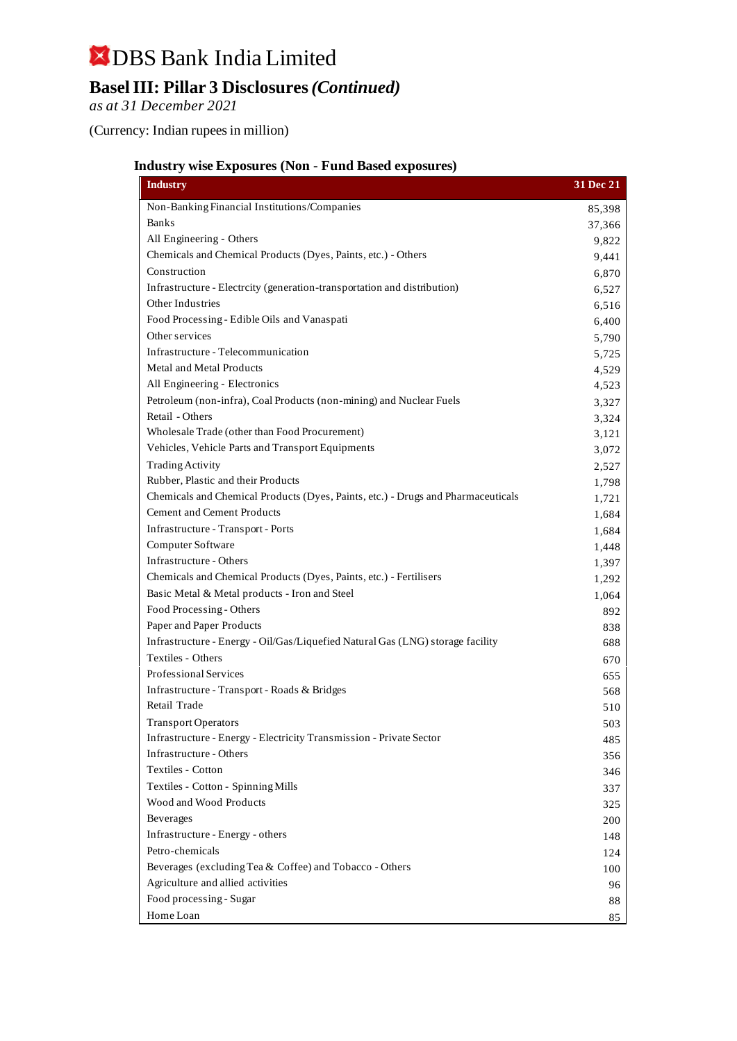# DBS Bank India Limited **Basel III: Pillar 3 Disclosures***(Continued)*

*as at 31 December 2021*

(Currency: Indian rupees in million)

### **Industry wise Exposures (Non - Fund Based exposures)**

| <b>Industry</b>                                                                  | 31 Dec 21 |
|----------------------------------------------------------------------------------|-----------|
| Non-Banking Financial Institutions/Companies                                     | 85,398    |
| <b>Banks</b>                                                                     | 37,366    |
| All Engineering - Others                                                         | 9,822     |
| Chemicals and Chemical Products (Dyes, Paints, etc.) - Others                    | 9,441     |
| Construction                                                                     | 6,870     |
| Infrastructure - Electrcity (generation-transportation and distribution)         | 6,527     |
| Other Industries                                                                 | 6,516     |
| Food Processing - Edible Oils and Vanaspati                                      | 6,400     |
| Other services                                                                   | 5,790     |
| Infrastructure - Telecommunication                                               | 5,725     |
| Metal and Metal Products                                                         | 4,529     |
| All Engineering - Electronics                                                    | 4,523     |
| Petroleum (non-infra), Coal Products (non-mining) and Nuclear Fuels              | 3,327     |
| Retail - Others                                                                  | 3,324     |
| Wholesale Trade (other than Food Procurement)                                    | 3,121     |
| Vehicles, Vehicle Parts and Transport Equipments                                 | 3,072     |
| <b>Trading Activity</b>                                                          | 2,527     |
| Rubber, Plastic and their Products                                               | 1,798     |
| Chemicals and Chemical Products (Dyes, Paints, etc.) - Drugs and Pharmaceuticals | 1,721     |
| <b>Cement and Cement Products</b>                                                | 1,684     |
| Infrastructure - Transport - Ports                                               | 1,684     |
| Computer Software                                                                | 1,448     |
| Infrastructure - Others                                                          | 1,397     |
| Chemicals and Chemical Products (Dyes, Paints, etc.) - Fertilisers               | 1,292     |
| Basic Metal & Metal products - Iron and Steel                                    | 1,064     |
| Food Processing - Others                                                         | 892       |
| Paper and Paper Products                                                         | 838       |
| Infrastructure - Energy - Oil/Gas/Liquefied Natural Gas (LNG) storage facility   | 688       |
| Textiles - Others                                                                | 670       |
| <b>Professional Services</b>                                                     | 655       |
| Infrastructure - Transport - Roads & Bridges                                     | 568       |
| Retail Trade                                                                     | 510       |
| <b>Transport Operators</b>                                                       | 503       |
| Infrastructure - Energy - Electricity Transmission - Private Sector              | 485       |
| Infrastructure - Others                                                          | 356       |
| Textiles - Cotton                                                                | 346       |
| Textiles - Cotton - Spinning Mills                                               | 337       |
| Wood and Wood Products                                                           | 325       |
| Beverages                                                                        | 200       |
| Infrastructure - Energy - others                                                 | 148       |
| Petro-chemicals                                                                  | 124       |
| Beverages (excluding Tea & Coffee) and Tobacco - Others                          | 100       |
| Agriculture and allied activities                                                | 96        |
| Food processing - Sugar                                                          | 88        |
| Home Loan                                                                        | 85        |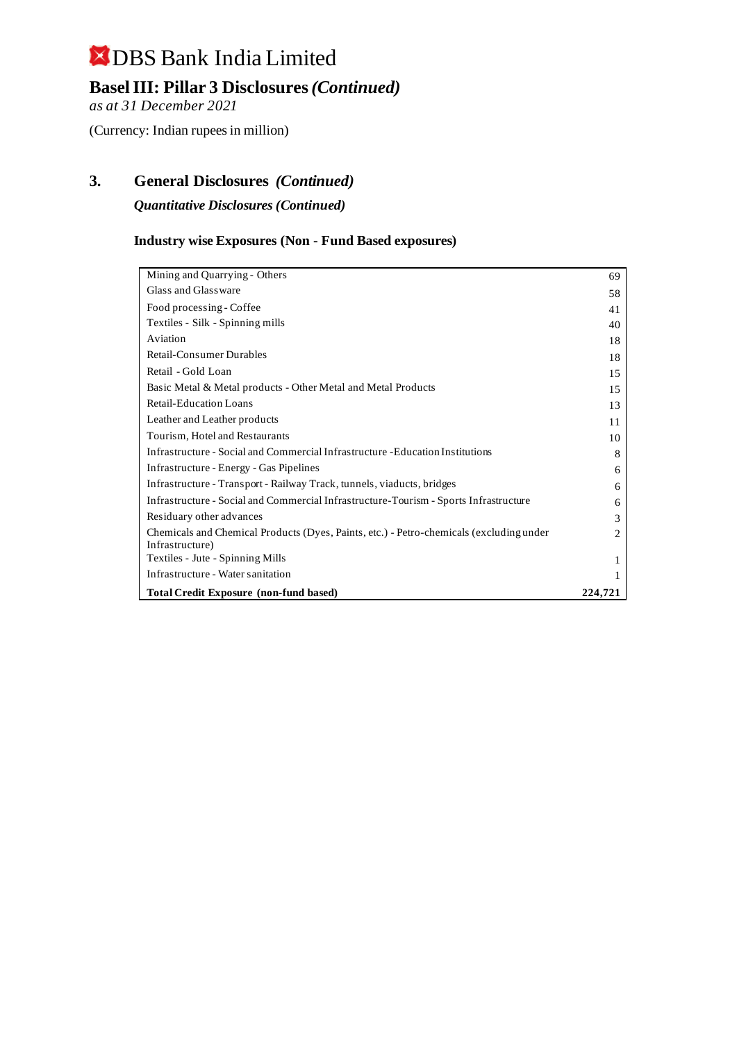**Basel III: Pillar 3 Disclosures***(Continued)*

*as at 31 December 2021*

(Currency: Indian rupees in million)

## **3. General Disclosures** *(Continued)*

*Quantitative Disclosures (Continued)*

### **Industry wise Exposures (Non - Fund Based exposures)**

| Mining and Quarrying - Others                                                                              | 69      |
|------------------------------------------------------------------------------------------------------------|---------|
| Glass and Glassware                                                                                        | 58      |
| Food processing - Coffee                                                                                   | 41      |
| Textiles - Silk - Spinning mills                                                                           | 40      |
| Aviation                                                                                                   | 18      |
| <b>Retail-Consumer Durables</b>                                                                            | 18      |
| Retail - Gold Loan                                                                                         | 15      |
| Basic Metal & Metal products - Other Metal and Metal Products                                              | 15      |
| <b>Retail-Education Loans</b>                                                                              | 13      |
| Leather and Leather products                                                                               | 11      |
| Tourism, Hotel and Restaurants                                                                             | 10      |
| Infrastructure - Social and Commercial Infrastructure - Education Institutions                             | 8       |
| Infrastructure - Energy - Gas Pipelines                                                                    | 6       |
| Infrastructure - Transport - Railway Track, tunnels, viaducts, bridges                                     | 6       |
| Infrastructure - Social and Commercial Infrastructure-Tourism - Sports Infrastructure                      | 6       |
| Residuary other advances                                                                                   | 3       |
| Chemicals and Chemical Products (Dyes, Paints, etc.) - Petro-chemicals (excluding under<br>Infrastructure) | 2       |
| Textiles - Jute - Spinning Mills                                                                           |         |
| Infrastructure - Water sanitation                                                                          |         |
| <b>Total Credit Exposure (non-fund based)</b>                                                              | 224,721 |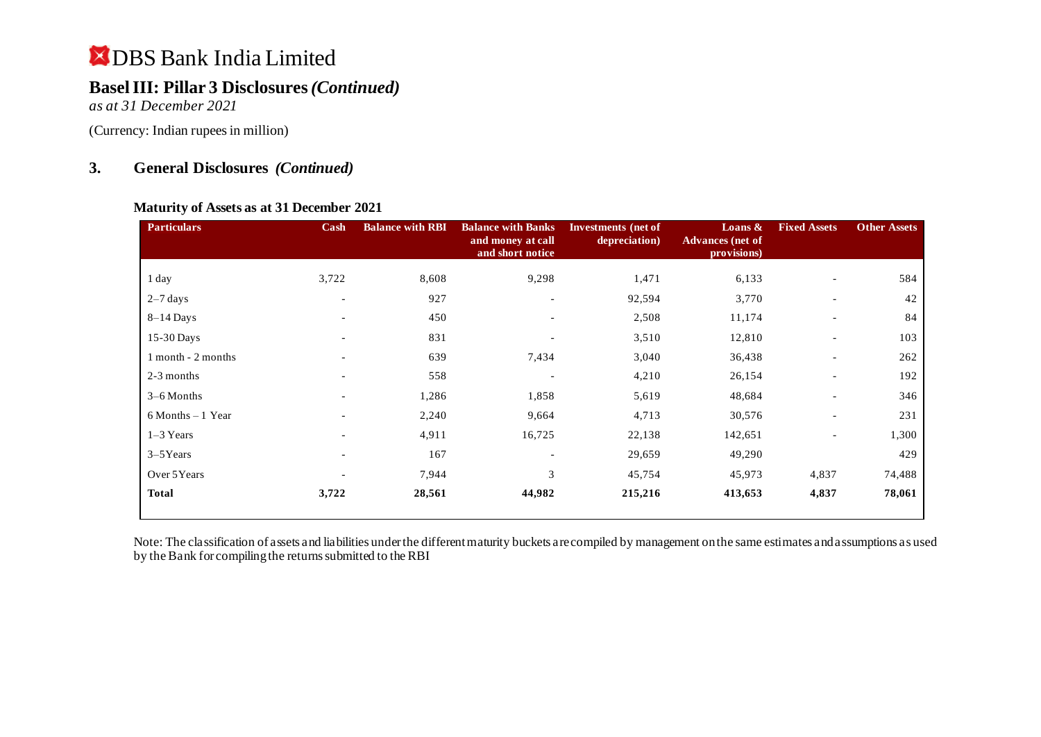## **Basel III: Pillar 3 Disclosures***(Continued)*

*as at 31 December 2021*

(Currency: Indian rupees in million)

### **3. General Disclosures** *(Continued)*

#### **Maturity of Assets as at 31 December 2021**

| <b>Particulars</b>   | Cash                     | <b>Balance with RBI</b> | <b>Balance with Banks</b><br>and money at call<br>and short notice | Investments (net of<br>depreciation) | Loans $\&$<br><b>Advances</b> (net of<br>provisions) | <b>Fixed Assets</b>      | <b>Other Assets</b> |
|----------------------|--------------------------|-------------------------|--------------------------------------------------------------------|--------------------------------------|------------------------------------------------------|--------------------------|---------------------|
| 1 day                | 3,722                    | 8,608                   | 9,298                                                              | 1,471                                | 6,133                                                |                          | 584                 |
| $2-7$ days           | $\overline{\phantom{a}}$ | 927                     |                                                                    | 92,594                               | 3,770                                                |                          | 42                  |
| $8-14$ Days          | $\overline{\phantom{a}}$ | 450                     | $\overline{\phantom{a}}$                                           | 2,508                                | 11,174                                               | $\overline{\phantom{a}}$ | 84                  |
| 15-30 Days           |                          | 831                     |                                                                    | 3,510                                | 12,810                                               | $\overline{\phantom{a}}$ | 103                 |
| 1 month - 2 months   | $\overline{\phantom{0}}$ | 639                     | 7,434                                                              | 3,040                                | 36,438                                               | $\overline{\phantom{a}}$ | 262                 |
| 2-3 months           |                          | 558                     |                                                                    | 4,210                                | 26,154                                               | $\overline{\phantom{a}}$ | 192                 |
| $3-6$ Months         |                          | 1,286                   | 1,858                                                              | 5,619                                | 48,684                                               | $\blacksquare$           | 346                 |
| $6$ Months $-1$ Year |                          | 2,240                   | 9,664                                                              | 4,713                                | 30,576                                               | $\overline{\phantom{a}}$ | 231                 |
| 1-3 Years            |                          | 4,911                   | 16,725                                                             | 22,138                               | 142,651                                              | $\overline{\phantom{a}}$ | 1,300               |
| $3-5$ Years          | -                        | 167                     |                                                                    | 29,659                               | 49,290                                               |                          | 429                 |
| Over 5Years          |                          | 7,944                   | 3                                                                  | 45,754                               | 45,973                                               | 4,837                    | 74,488              |
| <b>Total</b>         | 3,722                    | 28,561                  | 44,982                                                             | 215,216                              | 413,653                                              | 4,837                    | 78,061              |

Note: The classification of assets and liabilities under the different maturity buckets are compiled by management on the same estimates and assumptions as used by the Bank for compiling the returns submitted to the RBI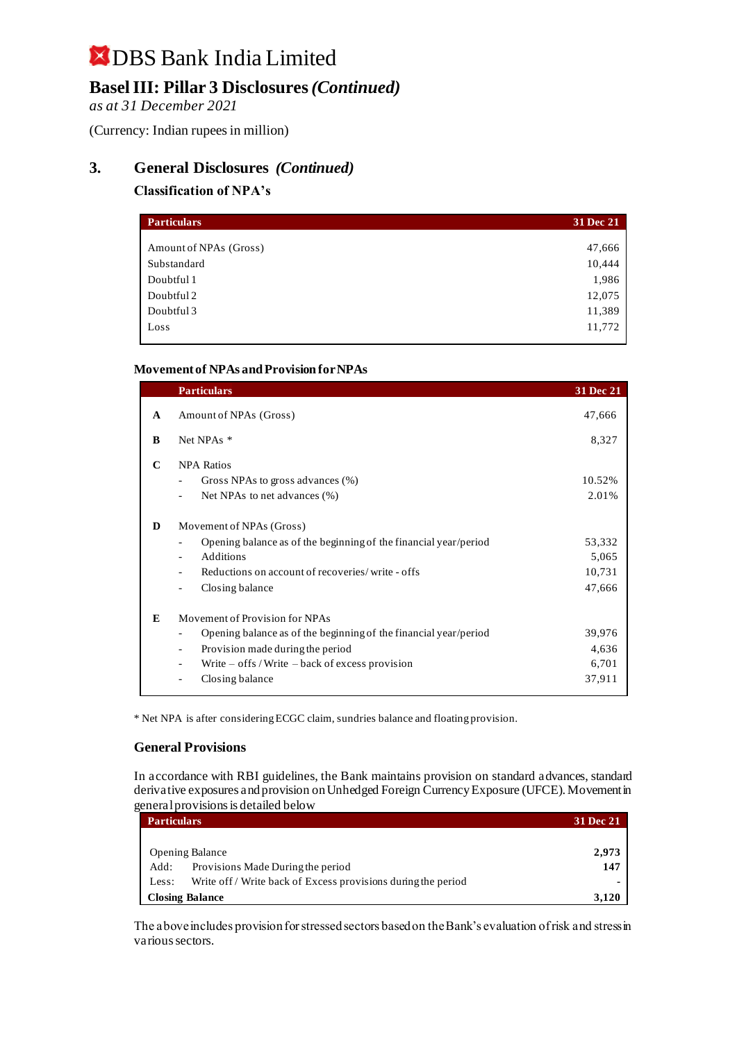## **Basel III: Pillar 3 Disclosures***(Continued)*

*as at 31 December 2021*

(Currency: Indian rupees in million)

### **3. General Disclosures** *(Continued)*

#### **Classification of NPA's**

| <b>Particulars</b>     | 31 Dec 21 |
|------------------------|-----------|
|                        |           |
| Amount of NPAs (Gross) | 47,666    |
| Substandard            | 10,444    |
| Doubtful 1             | 1,986     |
| Doubtful 2             | 12,075    |
| Doubtful 3             | 11,389    |
| Loss                   | 11,772    |

#### **Movement of NPAs and Provision for NPAs**

|   | <b>Particulars</b>                                               | 31 Dec 21 |
|---|------------------------------------------------------------------|-----------|
| A | Amount of NPAs (Gross)                                           | 47,666    |
| B | Net NPAs *                                                       | 8,327     |
| C | <b>NPA Ratios</b>                                                |           |
|   | Gross NPAs to gross advances (%)<br>$\overline{\phantom{a}}$     | 10.52%    |
|   | Net NPAs to net advances (%)                                     | 2.01%     |
| D | Movement of NPAs (Gross)                                         |           |
|   | Opening balance as of the beginning of the financial year/period | 53,332    |
|   | Additions<br>$\blacksquare$                                      | 5,065     |
|   | Reductions on account of recoveries/write - offs                 | 10,731    |
|   | Closing balance                                                  | 47,666    |
| E | Movement of Provision for NPAs                                   |           |
|   | Opening balance as of the beginning of the financial year/period | 39,976    |
|   | Provision made during the period<br>$\overline{\phantom{a}}$     | 4,636     |
|   | Write $-$ offs / Write $-$ back of excess provision              | 6,701     |
|   | Closing balance                                                  | 37,911    |
|   |                                                                  |           |

\* Net NPA is after considering ECGC claim, sundries balance and floating provision.

#### **General Provisions**

In accordance with RBI guidelines, the Bank maintains provision on standard advances, standard derivative exposures and provision on Unhedged Foreign Currency Exposure (UFCE). Movement in general provisions is detailed below

| <b>Particulars</b>     |                                                               | <b>31 Dec 21</b> |
|------------------------|---------------------------------------------------------------|------------------|
|                        |                                                               |                  |
| <b>Opening Balance</b> |                                                               | 2.973            |
| Add:                   | Provisions Made During the period                             | 147              |
| Less:                  | Write off / Write back of Excess provisions during the period |                  |
| <b>Closing Balance</b> |                                                               | 3.120            |

The above includes provision for stressed sectors based on the Bank's evaluation of risk and stress in various sectors.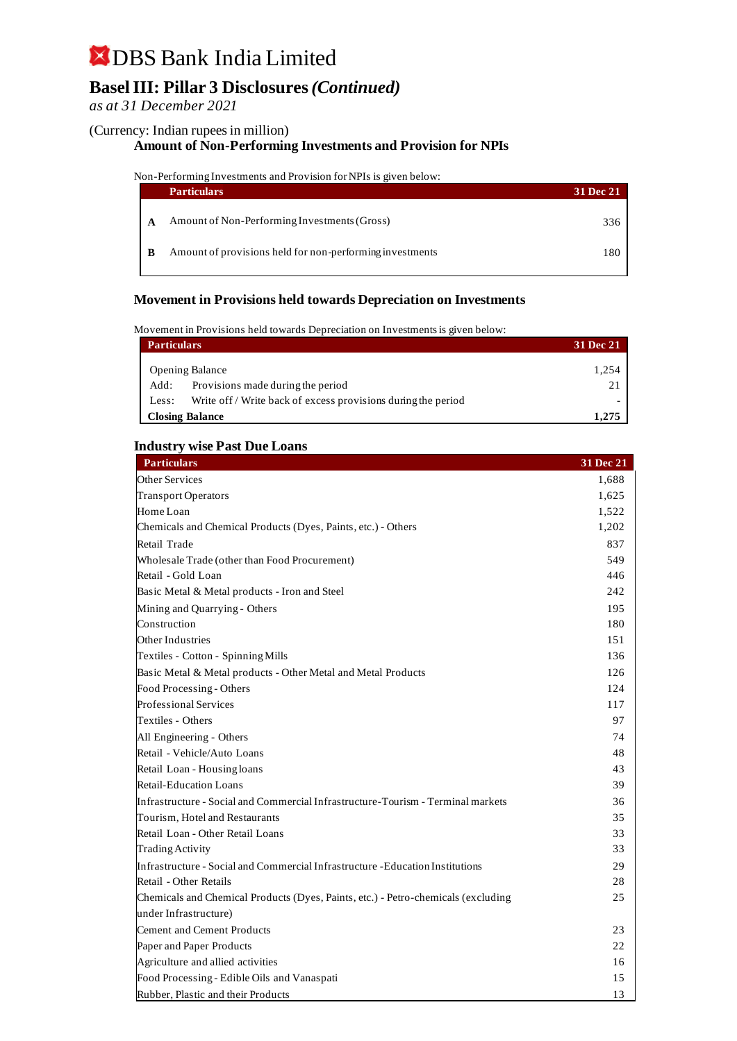## **Basel III: Pillar 3 Disclosures***(Continued)*

#### *as at 31 December 2021*

#### (Currency: Indian rupees in million)

#### **Amount of Non-Performing Investments and Provision for NPIs**

#### Non-Performing Investments and Provision for NPIs is given below:

|   | <b>Particulars</b>                                       | <b>31 Dec 21</b> |
|---|----------------------------------------------------------|------------------|
| A | Amount of Non-Performing Investments (Gross)             | 336 P            |
|   | Amount of provisions held for non-performing investments | 180              |

#### **Movement in Provisions held towards Depreciation on Investments**

Movement in Provisions held towards Depreciation on Investments is given below:

| <b>Particulars</b> | <b>31 Dec 21</b>                                              |       |  |
|--------------------|---------------------------------------------------------------|-------|--|
|                    | <b>Opening Balance</b>                                        | 1.254 |  |
| Add:               | Provisions made during the period                             |       |  |
| Less:              | Write off / Write back of excess provisions during the period |       |  |
|                    | <b>Closing Balance</b>                                        |       |  |

#### **Industry wise Past Due Loans**

| <b>Particulars</b>                                                                | 31 Dec 21 |
|-----------------------------------------------------------------------------------|-----------|
| <b>Other Services</b>                                                             | 1,688     |
| <b>Transport Operators</b>                                                        | 1,625     |
| Home Loan                                                                         | 1,522     |
| Chemicals and Chemical Products (Dyes, Paints, etc.) - Others                     | 1,202     |
| Retail Trade                                                                      | 837       |
| Wholesale Trade (other than Food Procurement)                                     | 549       |
| Retail - Gold Loan                                                                | 446       |
| Basic Metal & Metal products - Iron and Steel                                     | 242       |
| Mining and Quarrying - Others                                                     | 195       |
| Construction                                                                      | 180       |
| Other Industries                                                                  | 151       |
| Textiles - Cotton - Spinning Mills                                                | 136       |
| Basic Metal & Metal products - Other Metal and Metal Products                     | 126       |
| Food Processing - Others                                                          | 124       |
| <b>Professional Services</b>                                                      | 117       |
| Textiles - Others                                                                 | 97        |
| All Engineering - Others                                                          | 74        |
| Retail - Vehicle/Auto Loans                                                       | 48        |
| Retail Loan - Housing loans                                                       | 43        |
| <b>Retail-Education Loans</b>                                                     | 39        |
| Infrastructure - Social and Commercial Infrastructure-Tourism - Terminal markets  | 36        |
| Tourism, Hotel and Restaurants                                                    | 35        |
| Retail Loan - Other Retail Loans                                                  | 33        |
| <b>Trading Activity</b>                                                           | 33        |
| Infrastructure - Social and Commercial Infrastructure - Education Institutions    | 29        |
| Retail - Other Retails                                                            | 28        |
| Chemicals and Chemical Products (Dyes, Paints, etc.) - Petro-chemicals (excluding | 25        |
| under Infrastructure)                                                             |           |
| <b>Cement and Cement Products</b>                                                 | 23        |
| Paper and Paper Products                                                          | 22        |
| Agriculture and allied activities                                                 | 16        |
| Food Processing - Edible Oils and Vanaspati                                       | 15        |
| Rubber, Plastic and their Products                                                | 13        |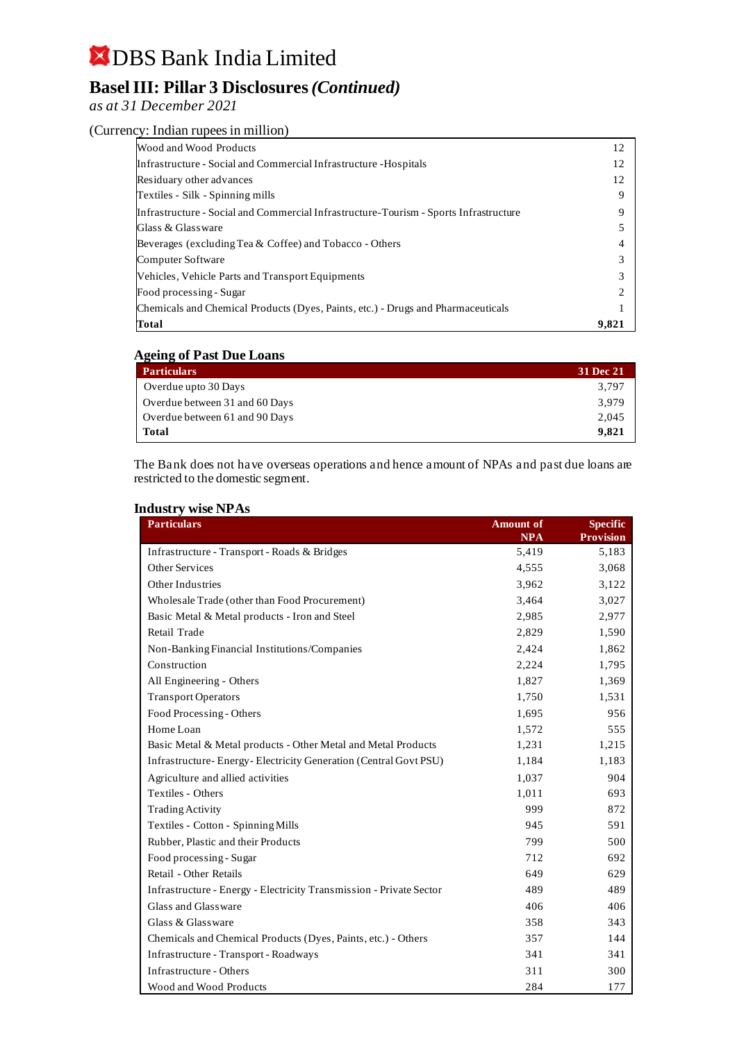## **Basel III: Pillar 3 Disclosures***(Continued)*

#### *as at 31 December 2021*

#### (Currency: Indian rupees in million)

| Wood and Wood Products                                                                | 12    |
|---------------------------------------------------------------------------------------|-------|
| Infrastructure - Social and Commercial Infrastructure - Hospitals                     | 12    |
| Residuary other advances                                                              | 12    |
| Textiles - Silk - Spinning mills                                                      | 9     |
| Infrastructure - Social and Commercial Infrastructure-Tourism - Sports Infrastructure |       |
| Glass & Glassware                                                                     |       |
| Beverages (excluding Tea & Coffee) and Tobacco - Others                               |       |
| Computer Software                                                                     |       |
| <b>Vehicles, Vehicle Parts and Transport Equipments</b>                               |       |
| Food processing - Sugar                                                               |       |
| Chemicals and Chemical Products (Dyes, Paints, etc.) - Drugs and Pharmaceuticals      |       |
| Total                                                                                 | 9,821 |

#### **Ageing of Past Due Loans**

| <b>Particulars</b>             | 31 Dec 21 |
|--------------------------------|-----------|
| Overdue upto 30 Days           | 3.797     |
| Overdue between 31 and 60 Days | 3.979     |
| Overdue between 61 and 90 Days | 2,045     |
| <b>Total</b>                   | 9.821     |

The Bank does not have overseas operations and hence amount of NPAs and past due loans are restricted to the domestic segment.

#### **Industry wise NPAs**

| 144901 Y<br><b>WADE THE TWO</b><br><b>Particulars</b>               | <b>Amount of</b><br><b>NPA</b> | <b>Specific</b><br><b>Provision</b> |
|---------------------------------------------------------------------|--------------------------------|-------------------------------------|
| Infrastructure - Transport - Roads & Bridges                        | 5,419                          | 5,183                               |
| <b>Other Services</b>                                               | 4,555                          | 3,068                               |
| Other Industries                                                    | 3,962                          | 3,122                               |
| Wholesale Trade (other than Food Procurement)                       | 3,464                          | 3,027                               |
| Basic Metal & Metal products - Iron and Steel                       | 2,985                          | 2,977                               |
| Retail Trade                                                        | 2,829                          | 1,590                               |
| Non-Banking Financial Institutions/Companies                        | 2,424                          | 1,862                               |
| Construction                                                        | 2,224                          | 1,795                               |
| All Engineering - Others                                            | 1,827                          | 1,369                               |
| <b>Transport Operators</b>                                          | 1,750                          | 1,531                               |
| Food Processing - Others                                            | 1,695                          | 956                                 |
| Home Loan                                                           | 1,572                          | 555                                 |
| Basic Metal & Metal products - Other Metal and Metal Products       | 1,231                          | 1,215                               |
| Infrastructure- Energy-Electricity Generation (Central Govt PSU)    | 1,184                          | 1,183                               |
| Agriculture and allied activities                                   | 1,037                          | 904                                 |
| Textiles - Others                                                   | 1,011                          | 693                                 |
| <b>Trading Activity</b>                                             | 999                            | 872                                 |
| Textiles - Cotton - Spinning Mills                                  | 945                            | 591                                 |
| Rubber, Plastic and their Products                                  | 799                            | 500                                 |
| Food processing - Sugar                                             | 712                            | 692                                 |
| Retail - Other Retails                                              | 649                            | 629                                 |
| Infrastructure - Energy - Electricity Transmission - Private Sector | 489                            | 489                                 |
| Glass and Glassware                                                 | 406                            | 406                                 |
| Glass & Glassware                                                   | 358                            | 343                                 |
| Chemicals and Chemical Products (Dyes, Paints, etc.) - Others       | 357                            | 144                                 |
| Infrastructure - Transport - Roadways                               | 341                            | 341                                 |
| Infrastructure - Others                                             | 311                            | 300                                 |
| Wood and Wood Products                                              | 284                            | 177                                 |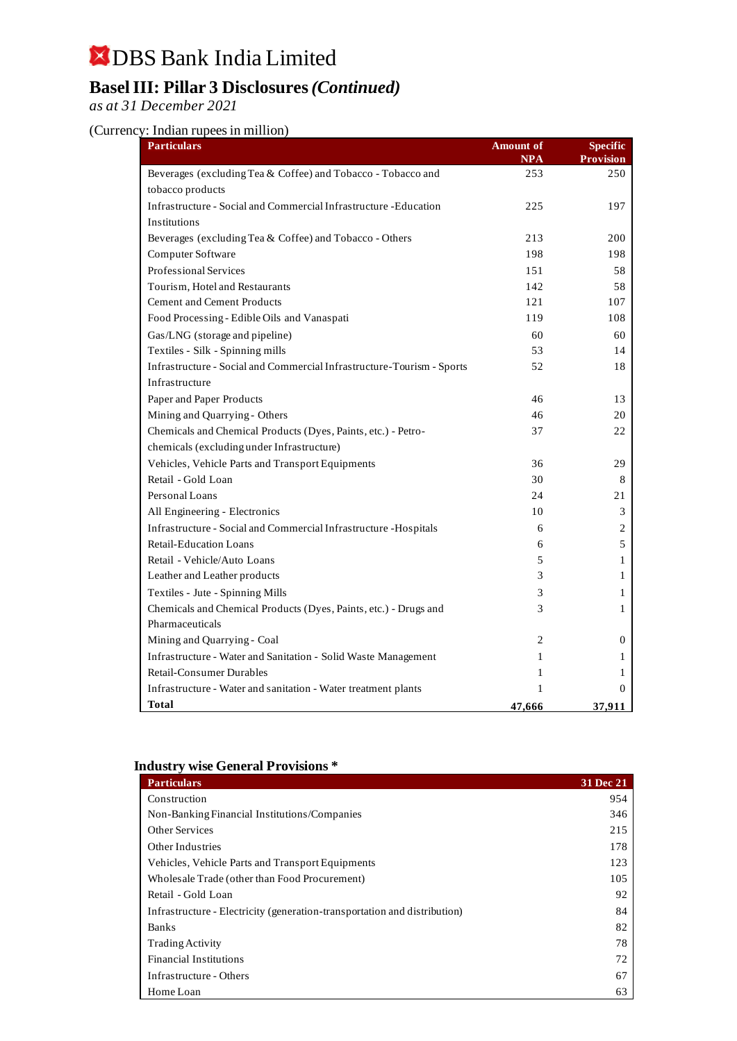## **Basel III: Pillar 3 Disclosures***(Continued)*

*as at 31 December 2021*

#### (Currency: Indian rupees in million)

| <b>Particulars</b>                                                     | <b>Amount of</b><br>NPA | <b>Specific</b><br>Provision |
|------------------------------------------------------------------------|-------------------------|------------------------------|
| Beverages (excluding Tea & Coffee) and Tobacco - Tobacco and           | 253                     | 250                          |
| tobacco products                                                       |                         |                              |
| Infrastructure - Social and Commercial Infrastructure - Education      | 225                     | 197                          |
| Institutions                                                           |                         |                              |
| Beverages (excluding Tea & Coffee) and Tobacco - Others                | 213                     | 200                          |
| Computer Software                                                      | 198                     | 198                          |
| Professional Services                                                  | 151                     | 58                           |
| Tourism, Hotel and Restaurants                                         | 142                     | 58                           |
| <b>Cement and Cement Products</b>                                      | 121                     | 107                          |
| Food Processing - Edible Oils and Vanaspati                            | 119                     | 108                          |
| Gas/LNG (storage and pipeline)                                         | 60                      | 60                           |
| Textiles - Silk - Spinning mills                                       | 53                      | 14                           |
| Infrastructure - Social and Commercial Infrastructure-Tourism - Sports | 52                      | 18                           |
| Infrastructure                                                         |                         |                              |
| Paper and Paper Products                                               | 46                      | 13                           |
| Mining and Quarrying - Others                                          | 46                      | 20                           |
| Chemicals and Chemical Products (Dyes, Paints, etc.) - Petro-          | 37                      | 22                           |
| chemicals (excluding under Infrastructure)                             |                         |                              |
| Vehicles, Vehicle Parts and Transport Equipments                       | 36                      | 29                           |
| Retail - Gold Loan                                                     | 30                      | 8                            |
| Personal Loans                                                         | 24                      | 21                           |
| All Engineering - Electronics                                          | 10                      | 3                            |
| Infrastructure - Social and Commercial Infrastructure - Hospitals      | 6                       | 2                            |
| <b>Retail-Education Loans</b>                                          | 6                       | 5                            |
| Retail - Vehicle/Auto Loans                                            | 5                       | 1                            |
| Leather and Leather products                                           | 3                       | 1                            |
| Textiles - Jute - Spinning Mills                                       | 3                       | 1                            |
| Chemicals and Chemical Products (Dyes, Paints, etc.) - Drugs and       | 3                       | 1                            |
| Pharmaceuticals                                                        |                         |                              |
| Mining and Quarrying - Coal                                            | 2                       | $\mathbf{0}$                 |
| Infrastructure - Water and Sanitation - Solid Waste Management         | 1                       | 1                            |
| Retail-Consumer Durables                                               | 1                       | 1                            |
| Infrastructure - Water and sanitation - Water treatment plants         | 1                       | 0                            |
| <b>Total</b>                                                           | <u>47,666</u>           | 37.911                       |

#### **Industry wise General Provisions \***

| <b>Particulars</b>                                                        | 31 Dec 21 |
|---------------------------------------------------------------------------|-----------|
| Construction                                                              | 954       |
| Non-Banking Financial Institutions/Companies                              | 346       |
| <b>Other Services</b>                                                     | 215       |
| Other Industries                                                          | 178       |
| Vehicles, Vehicle Parts and Transport Equipments                          | 123       |
| Wholesale Trade (other than Food Procurement)                             | 105       |
| Retail - Gold Loan                                                        | 92        |
| Infrastructure - Electricity (generation-transportation and distribution) | 84        |
| <b>Banks</b>                                                              | 82        |
| <b>Trading Activity</b>                                                   | 78        |
| <b>Financial Institutions</b>                                             | 72        |
| Infrastructure - Others                                                   | 67        |
| Home Loan                                                                 | 63        |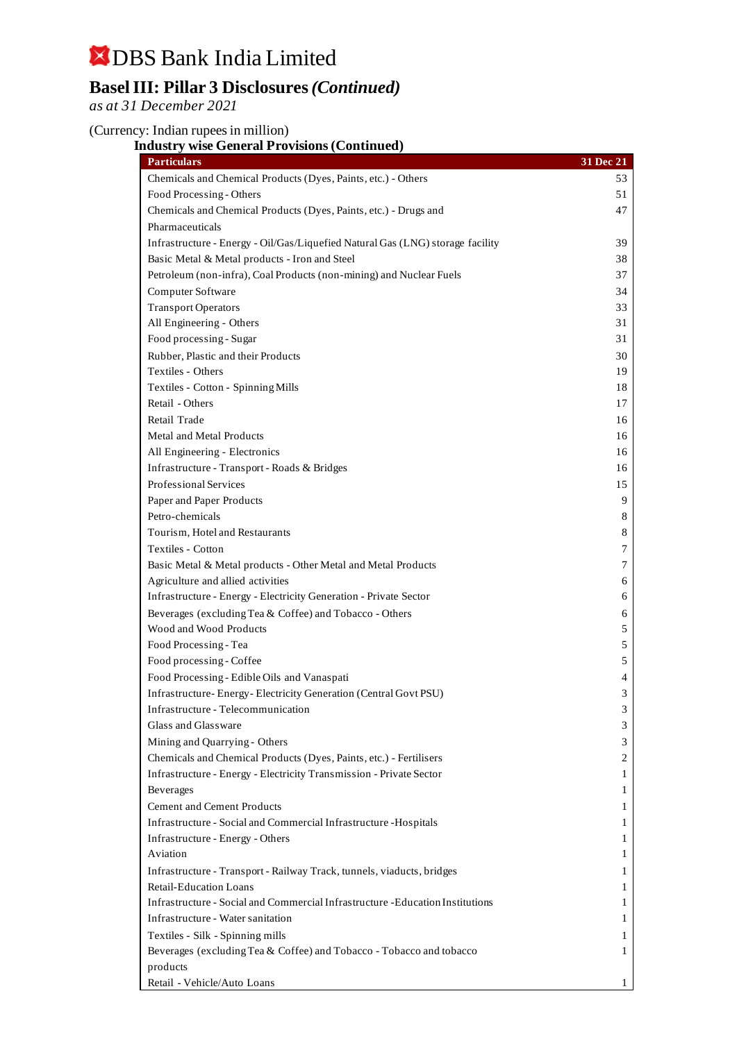## **Basel III: Pillar 3 Disclosures***(Continued)*

*as at 31 December 2021*

#### (Currency: Indian rupees in million)

### **Industry wise General Provisions (Continued)**

| <b>Particulars</b>                                                             | 31 Dec 21 |
|--------------------------------------------------------------------------------|-----------|
| Chemicals and Chemical Products (Dyes, Paints, etc.) - Others                  | 53        |
| Food Processing - Others                                                       | 51        |
| Chemicals and Chemical Products (Dyes, Paints, etc.) - Drugs and               | 47        |
| Pharmaceuticals                                                                |           |
| Infrastructure - Energy - Oil/Gas/Liquefied Natural Gas (LNG) storage facility | 39        |
| Basic Metal & Metal products - Iron and Steel                                  | 38        |
| Petroleum (non-infra), Coal Products (non-mining) and Nuclear Fuels            | 37        |
| Computer Software                                                              | 34        |
| <b>Transport Operators</b>                                                     | 33        |
| All Engineering - Others                                                       | 31        |
| Food processing - Sugar                                                        | 31        |
| Rubber, Plastic and their Products                                             | 30        |
| Textiles - Others                                                              | 19        |
| Textiles - Cotton - Spinning Mills                                             | 18        |
| Retail - Others                                                                | 17        |
| Retail Trade                                                                   | 16        |
| Metal and Metal Products                                                       | 16        |
| All Engineering - Electronics                                                  | 16        |
| Infrastructure - Transport - Roads & Bridges                                   | 16        |
| Professional Services                                                          | 15        |
| Paper and Paper Products                                                       | 9         |
| Petro-chemicals                                                                | 8         |
| Tourism, Hotel and Restaurants                                                 | 8         |
| Textiles - Cotton                                                              | 7         |
| Basic Metal & Metal products - Other Metal and Metal Products                  | 7         |
| Agriculture and allied activities                                              | 6         |
| Infrastructure - Energy - Electricity Generation - Private Sector              | 6         |
| Beverages (excluding Tea & Coffee) and Tobacco - Others                        | 6         |
| Wood and Wood Products                                                         | 5         |
| Food Processing - Tea                                                          | 5         |
| Food processing - Coffee                                                       | 5         |
| Food Processing - Edible Oils and Vanaspati                                    | 4         |
| Infrastructure-Energy-Electricity Generation (Central Govt PSU)                | 3         |
| Infrastructure - Telecommunication                                             | 3         |
| Glass and Glassware                                                            | 3         |
| Mining and Quarrying - Others                                                  | 3         |
| Chemicals and Chemical Products (Dyes, Paints, etc.) - Fertilisers             | 2         |
| Infrastructure - Energy - Electricity Transmission - Private Sector            | 1         |
| Beverages                                                                      | 1         |
| <b>Cement and Cement Products</b>                                              | 1         |
| Infrastructure - Social and Commercial Infrastructure - Hospitals              | 1         |
| Infrastructure - Energy - Others                                               | 1         |
| Aviation                                                                       | 1         |
| Infrastructure - Transport - Railway Track, tunnels, viaducts, bridges         | 1         |
| <b>Retail-Education Loans</b>                                                  | 1         |
| Infrastructure - Social and Commercial Infrastructure - Education Institutions | 1         |
| Infrastructure - Water sanitation                                              | 1         |
| Textiles - Silk - Spinning mills                                               | 1         |
| Beverages (excluding Tea & Coffee) and Tobacco - Tobacco and tobacco           | 1         |
| products                                                                       |           |
| Retail - Vehicle/Auto Loans                                                    | 1         |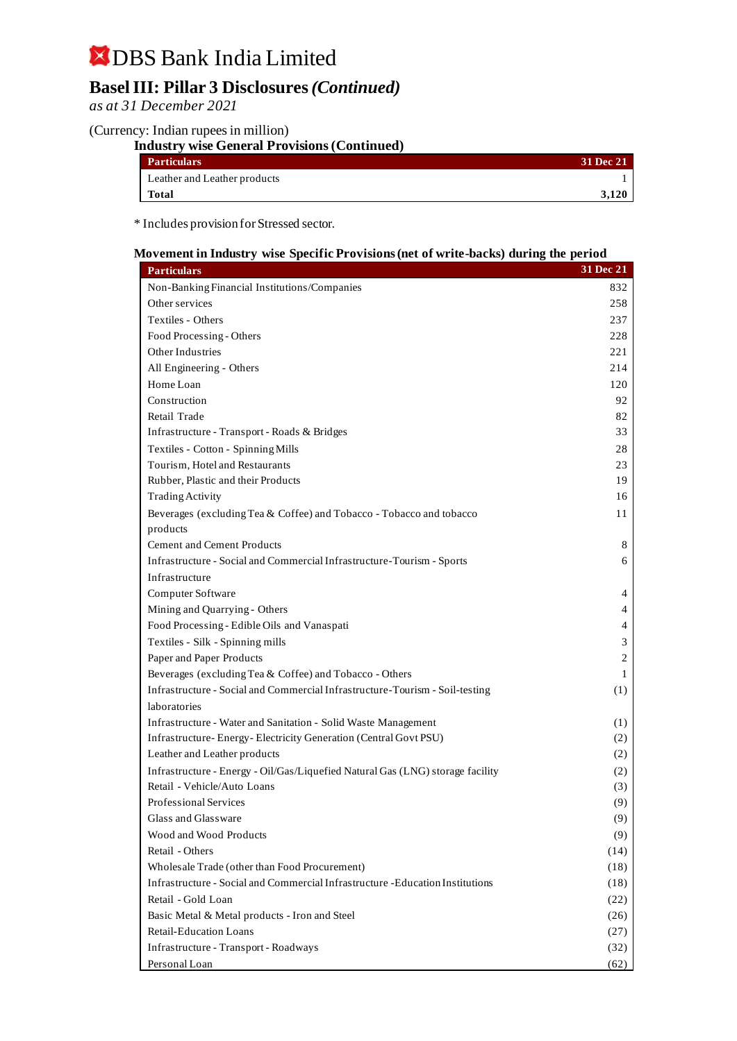## **Basel III: Pillar 3 Disclosures***(Continued)*

*as at 31 December 2021*

#### (Currency: Indian rupees in million)

| <b>Industry wise General Provisions (Continued)</b> |           |
|-----------------------------------------------------|-----------|
| <b>Particulars</b>                                  | 31 Dec 21 |
| Leather and Leather products                        |           |
| Total                                               | 3,120     |

\* Includes provision for Stressed sector.

#### **Movement in Industry wise Specific Provisions (net of write-backs) during the period**

| <b>Particulars</b>                                                             | 31 Dec 21 |
|--------------------------------------------------------------------------------|-----------|
| Non-Banking Financial Institutions/Companies                                   | 832       |
| Other services                                                                 | 258       |
| Textiles - Others                                                              | 237       |
| Food Processing - Others                                                       | 228       |
| Other Industries                                                               | 221       |
| All Engineering - Others                                                       | 214       |
| Home Loan                                                                      | 120       |
| Construction                                                                   | 92        |
| Retail Trade                                                                   | 82        |
| Infrastructure - Transport - Roads & Bridges                                   | 33        |
| Textiles - Cotton - Spinning Mills                                             | 28        |
| Tourism, Hotel and Restaurants                                                 | 23        |
| Rubber, Plastic and their Products                                             | 19        |
| <b>Trading Activity</b>                                                        | 16        |
| Beverages (excluding Tea & Coffee) and Tobacco - Tobacco and tobacco           | 11        |
| products                                                                       |           |
| <b>Cement and Cement Products</b>                                              | 8         |
| Infrastructure - Social and Commercial Infrastructure-Tourism - Sports         | 6         |
| Infrastructure                                                                 |           |
| Computer Software                                                              | 4         |
| Mining and Quarrying - Others                                                  | 4         |
| Food Processing - Edible Oils and Vanaspati                                    | 4         |
| Textiles - Silk - Spinning mills                                               | 3         |
| Paper and Paper Products                                                       | 2         |
| Beverages (excluding Tea & Coffee) and Tobacco - Others                        | 1         |
| Infrastructure - Social and Commercial Infrastructure-Tourism - Soil-testing   | (1)       |
| laboratories                                                                   |           |
| Infrastructure - Water and Sanitation - Solid Waste Management                 | (1)       |
| Infrastructure-Energy-Electricity Generation (Central Govt PSU)                | (2)       |
| Leather and Leather products                                                   | (2)       |
| Infrastructure - Energy - Oil/Gas/Liquefied Natural Gas (LNG) storage facility | (2)       |
| Retail - Vehicle/Auto Loans                                                    | (3)       |
| Professional Services                                                          | (9)       |
| Glass and Glassware                                                            | (9)       |
| Wood and Wood Products                                                         | (9)       |
| Retail - Others                                                                | (14)      |
| Wholesale Trade (other than Food Procurement)                                  | (18)      |
| Infrastructure - Social and Commercial Infrastructure - Education Institutions | (18)      |
| Retail - Gold Loan                                                             | (22)      |
| Basic Metal & Metal products - Iron and Steel                                  | (26)      |
| Retail-Education Loans                                                         | (27)      |
| Infrastructure - Transport - Roadways                                          | (32)      |
| Personal Loan                                                                  | (62)      |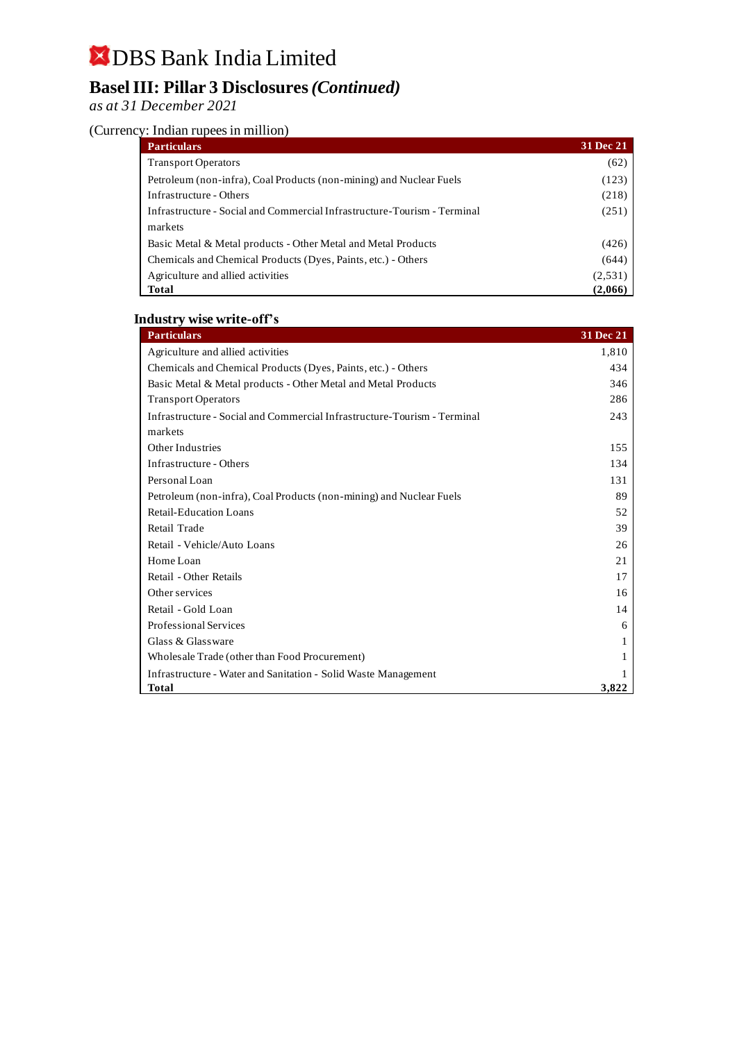## **Basel III: Pillar 3 Disclosures***(Continued)*

*as at 31 December 2021*

### (Currency: Indian rupees in million)

| <b>Particulars</b>                                                       | 31 Dec 21 |
|--------------------------------------------------------------------------|-----------|
| <b>Transport Operators</b>                                               | (62)      |
| Petroleum (non-infra), Coal Products (non-mining) and Nuclear Fuels      | (123)     |
| Infrastructure - Others                                                  | (218)     |
| Infrastructure - Social and Commercial Infrastructure-Tourism - Terminal | (251)     |
| markets                                                                  |           |
| Basic Metal & Metal products - Other Metal and Metal Products            | (426)     |
| Chemicals and Chemical Products (Dyes, Paints, etc.) - Others            | (644)     |
| Agriculture and allied activities                                        | (2,531)   |
| Total                                                                    | (2,066)   |

#### **Industry wise write-off's**

| <b>Particulars</b>                                                       | <b>31 Dec 21</b> |
|--------------------------------------------------------------------------|------------------|
| Agriculture and allied activities                                        | 1,810            |
| Chemicals and Chemical Products (Dyes, Paints, etc.) - Others            | 434              |
| Basic Metal & Metal products - Other Metal and Metal Products            | 346              |
| <b>Transport Operators</b>                                               | 286              |
| Infrastructure - Social and Commercial Infrastructure-Tourism - Terminal | 243              |
| markets                                                                  |                  |
| Other Industries                                                         | 155              |
| Infrastructure - Others                                                  | 134              |
| Personal Loan                                                            | 131              |
| Petroleum (non-infra), Coal Products (non-mining) and Nuclear Fuels      | 89               |
| <b>Retail-Education Loans</b>                                            | 52               |
| Retail Trade                                                             | 39               |
| Retail - Vehicle/Auto Loans                                              | 26               |
| Home Loan                                                                | 21               |
| Retail - Other Retails                                                   | 17               |
| Other services                                                           | 16               |
| Retail - Gold Loan                                                       | 14               |
| <b>Professional Services</b>                                             | 6                |
| Glass & Glassware                                                        | 1                |
| Wholesale Trade (other than Food Procurement)                            |                  |
| Infrastructure - Water and Sanitation - Solid Waste Management           |                  |
| <b>Total</b>                                                             | 3,822            |